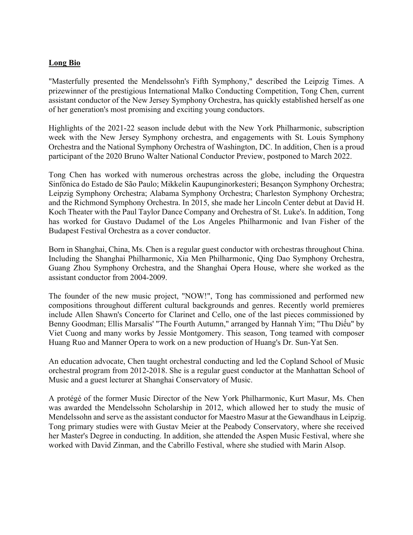## **Long Bio**

"Masterfully presented the Mendelssohn's Fifth Symphony," described the Leipzig Times. A prizewinner of the prestigious International Malko Conducting Competition, Tong Chen, current assistant conductor of the New Jersey Symphony Orchestra, has quickly established herself as one of her generation's most promising and exciting young conductors.

Highlights of the 2021-22 season include debut with the New York Philharmonic, subscription week with the New Jersey Symphony orchestra, and engagements with St. Louis Symphony Orchestra and the National Symphony Orchestra of Washington, DC. In addition, Chen is a proud participant of the 2020 Bruno Walter National Conductor Preview, postponed to March 2022.

Tong Chen has worked with numerous orchestras across the globe, including the Orquestra Sinfônica do Estado de São Paulo; Mikkelin Kaupunginorkesteri; Besançon Symphony Orchestra; Leipzig Symphony Orchestra; Alabama Symphony Orchestra; Charleston Symphony Orchestra; and the Richmond Symphony Orchestra. In 2015, she made her Lincoln Center debut at David H. Koch Theater with the Paul Taylor Dance Company and Orchestra of St. Luke's. In addition, Tong has worked for Gustavo Dudamel of the Los Angeles Philharmonic and Ivan Fisher of the Budapest Festival Orchestra as a cover conductor.

Born in Shanghai, China, Ms. Chen is a regular guest conductor with orchestras throughout China. Including the Shanghai Philharmonic, Xia Men Philharmonic, Qing Dao Symphony Orchestra, Guang Zhou Symphony Orchestra, and the Shanghai Opera House, where she worked as the assistant conductor from 2004-2009.

The founder of the new music project, "NOW!", Tong has commissioned and performed new compositions throughout different cultural backgrounds and genres. Recently world premieres include Allen Shawn's Concerto for Clarinet and Cello, one of the last pieces commissioned by Benny Goodman; Ellis Marsalis' "The Fourth Autumn," arranged by Hannah Yim; "Thu Diếu" by Viet Cuong and many works by Jessie Montgomery. This season, Tong teamed with composer Huang Ruo and Manner Opera to work on a new production of Huang's Dr. Sun-Yat Sen.

An education advocate, Chen taught orchestral conducting and led the Copland School of Music orchestral program from 2012-2018. She is a regular guest conductor at the Manhattan School of Music and a guest lecturer at Shanghai Conservatory of Music.

A protégé of the former Music Director of the New York Philharmonic, Kurt Masur, Ms. Chen was awarded the Mendelssohn Scholarship in 2012, which allowed her to study the music of Mendelssohn and serve as the assistant conductor for Maestro Masur at the Gewandhaus in Leipzig. Tong primary studies were with Gustav Meier at the Peabody Conservatory, where she received her Master's Degree in conducting. In addition, she attended the Aspen Music Festival, where she worked with David Zinman, and the Cabrillo Festival, where she studied with Marin Alsop.